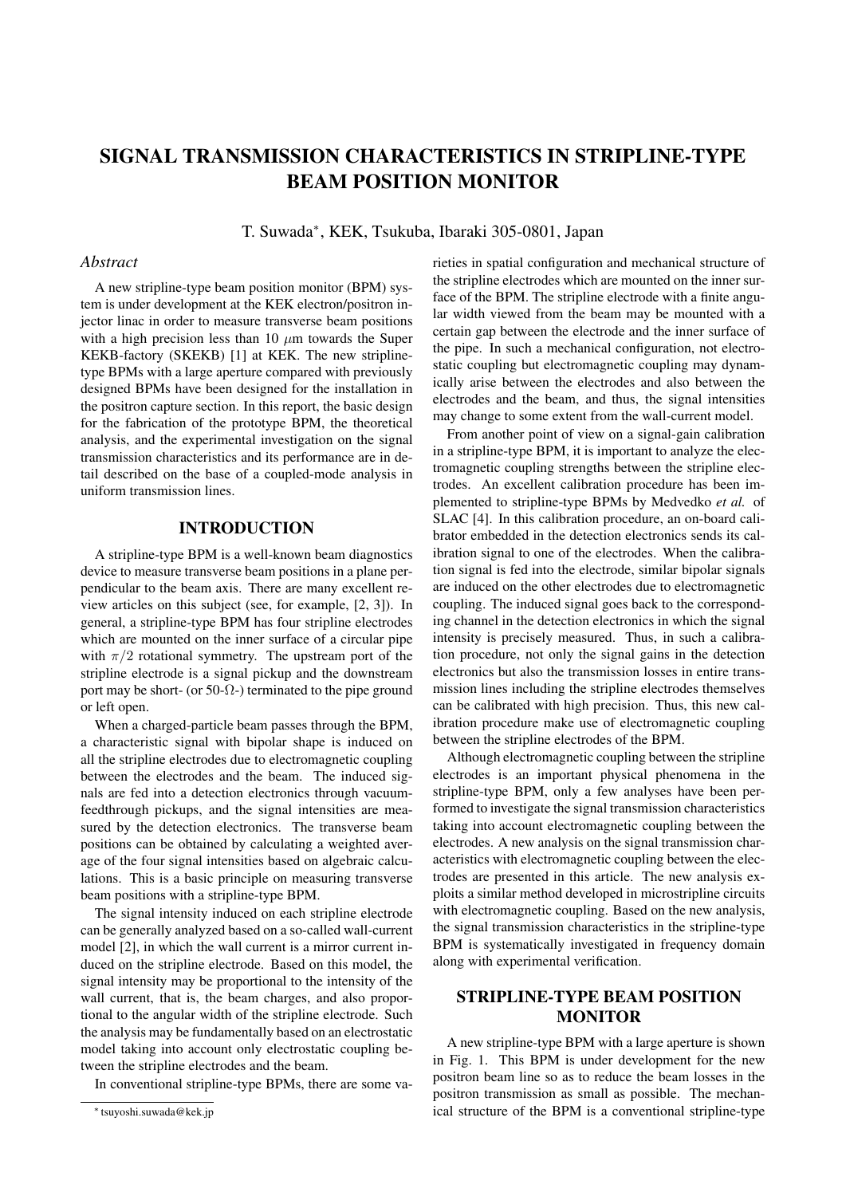# SIGNAL TRANSMISSION CHARACTERISTICS IN STRIPLINE-TYPE BEAM POSITION MONITOR

T. Suwada*<sup>∗</sup>* , KEK, Tsukuba, Ibaraki 305-0801, Japan

#### *Abstract*

A new stripline-type beam position monitor (BPM) system is under development at the KEK electron/positron injector linac in order to measure transverse beam positions with a high precision less than 10  $\mu$ m towards the Super KEKB-factory (SKEKB) [1] at KEK. The new striplinetype BPMs with a large aperture compared with previously designed BPMs have been designed for the installation in the positron capture section. In this report, the basic design for the fabrication of the prototype BPM, the theoretical analysis, and the experimental investigation on the signal transmission characteristics and its performance are in detail described on the base of a coupled-mode analysis in uniform transmission lines.

# INTRODUCTION

A stripline-type BPM is a well-known beam diagnostics device to measure transverse beam positions in a plane perpendicular to the beam axis. There are many excellent review articles on this subject (see, for example, [2, 3]). In general, a stripline-type BPM has four stripline electrodes which are mounted on the inner surface of a circular pipe with  $\pi/2$  rotational symmetry. The upstream port of the stripline electrode is a signal pickup and the downstream port may be short- (or 50- $\Omega$ -) terminated to the pipe ground or left open.

When a charged-particle beam passes through the BPM, a characteristic signal with bipolar shape is induced on all the stripline electrodes due to electromagnetic coupling between the electrodes and the beam. The induced signals are fed into a detection electronics through vacuumfeedthrough pickups, and the signal intensities are measured by the detection electronics. The transverse beam positions can be obtained by calculating a weighted average of the four signal intensities based on algebraic calculations. This is a basic principle on measuring transverse beam positions with a stripline-type BPM.

The signal intensity induced on each stripline electrode can be generally analyzed based on a so-called wall-current model [2], in which the wall current is a mirror current induced on the stripline electrode. Based on this model, the signal intensity may be proportional to the intensity of the wall current, that is, the beam charges, and also proportional to the angular width of the stripline electrode. Such the analysis may be fundamentally based on an electrostatic model taking into account only electrostatic coupling between the stripline electrodes and the beam.

In conventional stripline-type BPMs, there are some va-

rieties in spatial configuration and mechanical structure of the stripline electrodes which are mounted on the inner surface of the BPM. The stripline electrode with a finite angular width viewed from the beam may be mounted with a certain gap between the electrode and the inner surface of the pipe. In such a mechanical configuration, not electrostatic coupling but electromagnetic coupling may dynamically arise between the electrodes and also between the electrodes and the beam, and thus, the signal intensities may change to some extent from the wall-current model.

From another point of view on a signal-gain calibration in a stripline-type BPM, it is important to analyze the electromagnetic coupling strengths between the stripline electrodes. An excellent calibration procedure has been implemented to stripline-type BPMs by Medvedko *et al.* of SLAC [4]. In this calibration procedure, an on-board calibrator embedded in the detection electronics sends its calibration signal to one of the electrodes. When the calibration signal is fed into the electrode, similar bipolar signals are induced on the other electrodes due to electromagnetic coupling. The induced signal goes back to the corresponding channel in the detection electronics in which the signal intensity is precisely measured. Thus, in such a calibration procedure, not only the signal gains in the detection electronics but also the transmission losses in entire transmission lines including the stripline electrodes themselves can be calibrated with high precision. Thus, this new calibration procedure make use of electromagnetic coupling between the stripline electrodes of the BPM.

Although electromagnetic coupling between the stripline electrodes is an important physical phenomena in the stripline-type BPM, only a few analyses have been performed to investigate the signal transmission characteristics taking into account electromagnetic coupling between the electrodes. A new analysis on the signal transmission characteristics with electromagnetic coupling between the electrodes are presented in this article. The new analysis exploits a similar method developed in microstripline circuits with electromagnetic coupling. Based on the new analysis, the signal transmission characteristics in the stripline-type BPM is systematically investigated in frequency domain along with experimental verification.

# STRIPLINE-TYPE BEAM POSITION **MONITOR**

A new stripline-type BPM with a large aperture is shown in Fig. 1. This BPM is under development for the new positron beam line so as to reduce the beam losses in the positron transmission as small as possible. The mechanical structure of the BPM is a conventional stripline-type

*<sup>∗</sup>* tsuyoshi.suwada@kek.jp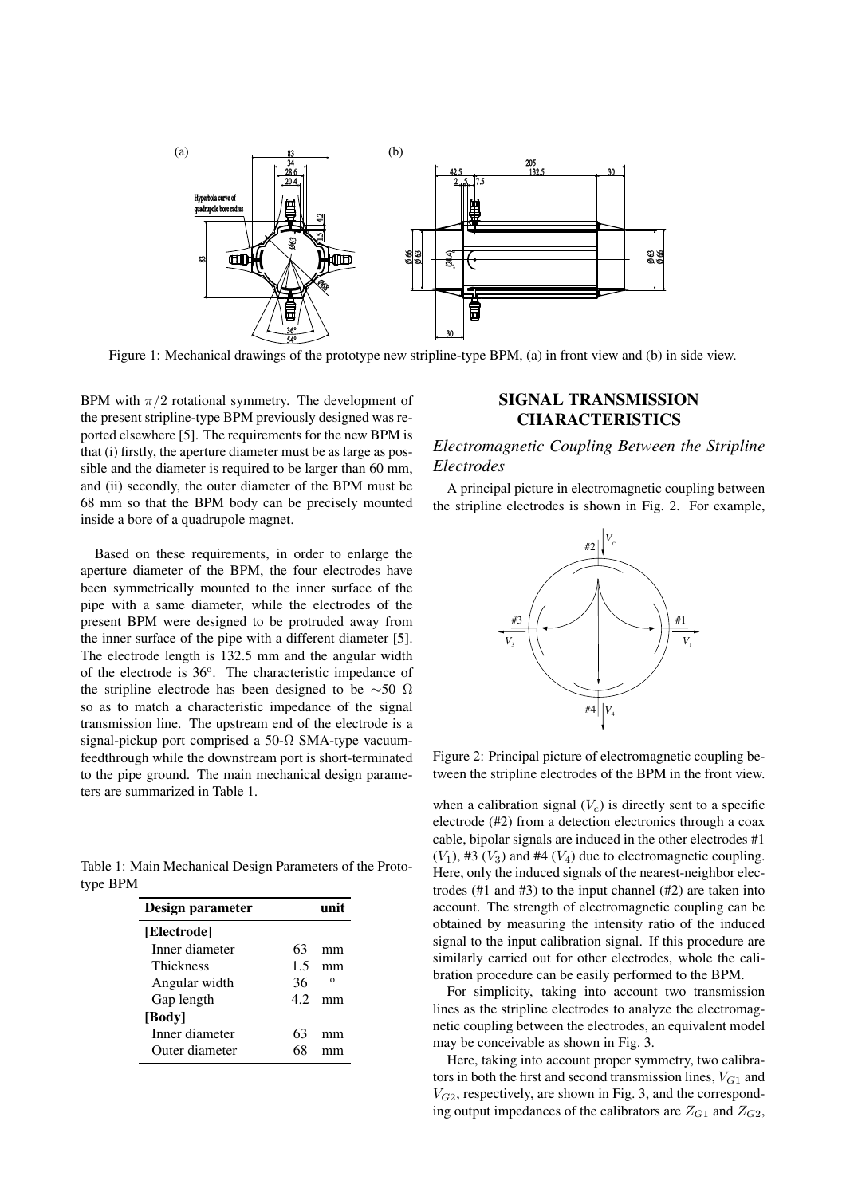

Figure 1: Mechanical drawings of the prototype new stripline-type BPM, (a) in front view and (b) in side view.

BPM with  $\pi/2$  rotational symmetry. The development of the present stripline-type BPM previously designed was reported elsewhere [5]. The requirements for the new BPM is that (i) firstly, the aperture diameter must be as large as possible and the diameter is required to be larger than 60 mm, and (ii) secondly, the outer diameter of the BPM must be 68 mm so that the BPM body can be precisely mounted inside a bore of a quadrupole magnet.

Based on these requirements, in order to enlarge the aperture diameter of the BPM, the four electrodes have been symmetrically mounted to the inner surface of the pipe with a same diameter, while the electrodes of the present BPM were designed to be protruded away from the inner surface of the pipe with a different diameter [5]. The electrode length is 132.5 mm and the angular width of the electrode is 36°. The characteristic impedance of the stripline electrode has been designed to be *∼*50 Ω so as to match a characteristic impedance of the signal transmission line. The upstream end of the electrode is a signal-pickup port comprised a 50- $\Omega$  SMA-type vacuumfeedthrough while the downstream port is short-terminated to the pipe ground. The main mechanical design parameters are summarized in Table 1.

Table 1: Main Mechanical Design Parameters of the Prototype BPM

| Design parameter |    |          |
|------------------|----|----------|
| [Electrode]      |    |          |
| Inner diameter   | 63 | mm       |
| <b>Thickness</b> | 15 | mm       |
| Angular width    | 36 | $\Omega$ |
| Gap length       | 42 |          |
| [Body]           |    |          |
| Inner diameter   | 63 | mm       |
| Outer diameter   | 68 |          |

## SIGNAL TRANSMISSION **CHARACTERISTICS**

# *Electromagnetic Coupling Between the Stripline Electrodes*

A principal picture in electromagnetic coupling between the stripline electrodes is shown in Fig. 2. For example,



Figure 2: Principal picture of electromagnetic coupling between the stripline electrodes of the BPM in the front view.

when a calibration signal  $(V_c)$  is directly sent to a specific electrode (#2) from a detection electronics through a coax cable, bipolar signals are induced in the other electrodes #1  $(V_1)$ , #3  $(V_3)$  and #4  $(V_4)$  due to electromagnetic coupling. Here, only the induced signals of the nearest-neighbor electrodes (#1 and #3) to the input channel (#2) are taken into account. The strength of electromagnetic coupling can be obtained by measuring the intensity ratio of the induced signal to the input calibration signal. If this procedure are similarly carried out for other electrodes, whole the calibration procedure can be easily performed to the BPM.

For simplicity, taking into account two transmission lines as the stripline electrodes to analyze the electromagnetic coupling between the electrodes, an equivalent model may be conceivable as shown in Fig. 3.

Here, taking into account proper symmetry, two calibrators in both the first and second transmission lines,  $V_{G1}$  and  $V_{G2}$ , respectively, are shown in Fig. 3, and the corresponding output impedances of the calibrators are  $Z_{G1}$  and  $Z_{G2}$ ,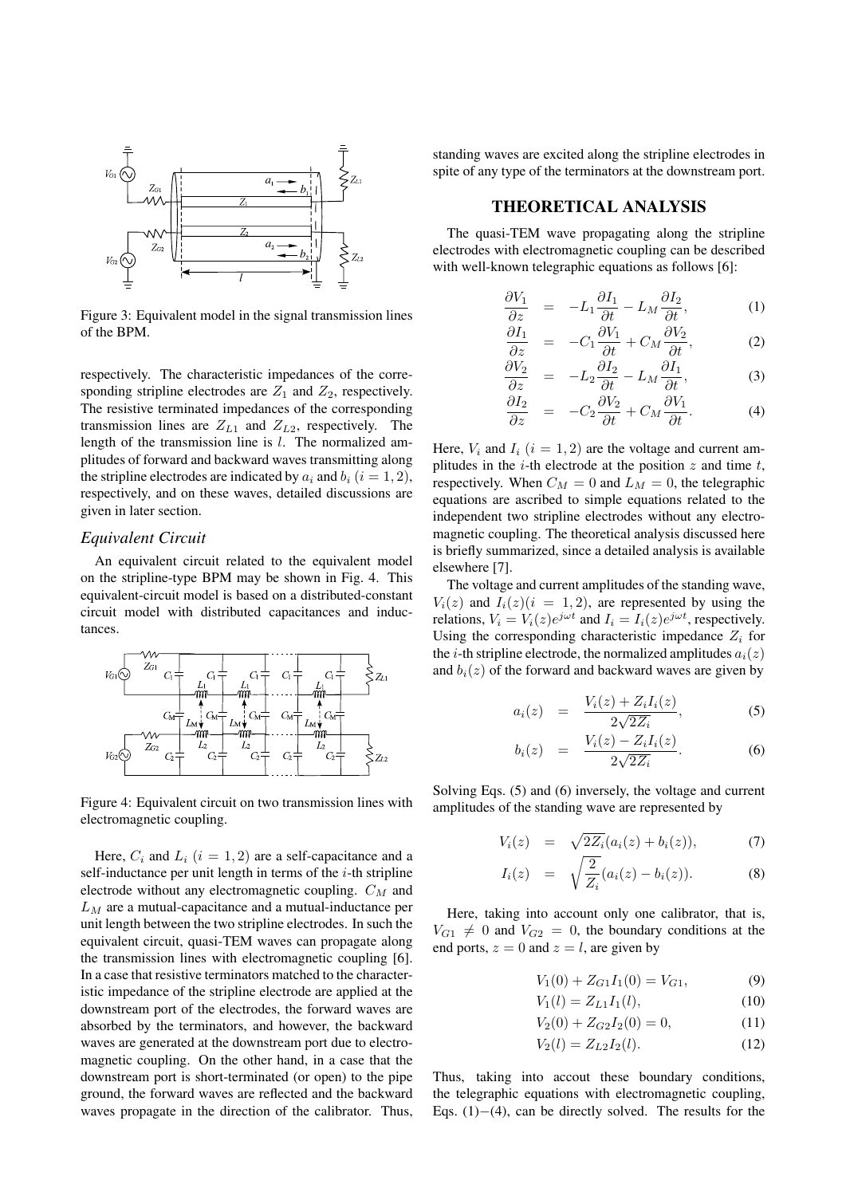

Figure 3: Equivalent model in the signal transmission lines of the BPM.

respectively. The characteristic impedances of the corresponding stripline electrodes are  $Z_1$  and  $Z_2$ , respectively. The resistive terminated impedances of the corresponding transmission lines are  $Z_{L1}$  and  $Z_{L2}$ , respectively. The length of the transmission line is *l*. The normalized amplitudes of forward and backward waves transmitting along the stripline electrodes are indicated by  $a_i$  and  $b_i$  ( $i = 1, 2$ ), respectively, and on these waves, detailed discussions are given in later section.

#### *Equivalent Circuit*

An equivalent circuit related to the equivalent model on the stripline-type BPM may be shown in Fig. 4. This equivalent-circuit model is based on a distributed-constant circuit model with distributed capacitances and inductances.



Figure 4: Equivalent circuit on two transmission lines with electromagnetic coupling.

Here,  $C_i$  and  $L_i$  ( $i = 1, 2$ ) are a self-capacitance and a self-inductance per unit length in terms of the *i*-th stripline electrode without any electromagnetic coupling. *C<sup>M</sup>* and *L<sup>M</sup>* are a mutual-capacitance and a mutual-inductance per unit length between the two stripline electrodes. In such the equivalent circuit, quasi-TEM waves can propagate along the transmission lines with electromagnetic coupling [6]. In a case that resistive terminators matched to the characteristic impedance of the stripline electrode are applied at the downstream port of the electrodes, the forward waves are absorbed by the terminators, and however, the backward waves are generated at the downstream port due to electromagnetic coupling. On the other hand, in a case that the downstream port is short-terminated (or open) to the pipe ground, the forward waves are reflected and the backward waves propagate in the direction of the calibrator. Thus,

standing waves are excited along the stripline electrodes in spite of any type of the terminators at the downstream port.

#### THEORETICAL ANALYSIS

The quasi-TEM wave propagating along the stripline electrodes with electromagnetic coupling can be described with well-known telegraphic equations as follows [6]:

$$
\frac{\partial V_1}{\partial z} = -L_1 \frac{\partial I_1}{\partial t} - L_M \frac{\partial I_2}{\partial t}, \tag{1}
$$

$$
\frac{\partial I_1}{\partial z} = -C_1 \frac{\partial V_1}{\partial t} + C_M \frac{\partial V_2}{\partial t},\tag{2}
$$

$$
\frac{\partial V_2}{\partial z} = -L_2 \frac{\partial I_2}{\partial t} - L_M \frac{\partial I_1}{\partial t},\tag{3}
$$

$$
\frac{\partial I_2}{\partial z} = -C_2 \frac{\partial V_2}{\partial t} + C_M \frac{\partial V_1}{\partial t}.
$$
 (4)

Here,  $V_i$  and  $I_i$  ( $i = 1, 2$ ) are the voltage and current amplitudes in the *i*-th electrode at the position *z* and time *t*, respectively. When  $C_M = 0$  and  $L_M = 0$ , the telegraphic equations are ascribed to simple equations related to the independent two stripline electrodes without any electromagnetic coupling. The theoretical analysis discussed here is briefly summarized, since a detailed analysis is available elsewhere [7].

The voltage and current amplitudes of the standing wave,  $V_i(z)$  and  $I_i(z)$  ( $i = 1, 2$ ), are represented by using the relations,  $V_i = V_i(z)e^{j\omega t}$  and  $I_i = I_i(z)e^{j\omega t}$ , respectively. Using the corresponding characteristic impedance  $Z_i$  for the *i*-th stripline electrode, the normalized amplitudes  $a_i(z)$ and  $b_i(z)$  of the forward and backward waves are given by

$$
a_i(z) = \frac{V_i(z) + Z_i I_i(z)}{2\sqrt{2Z_i}}, \tag{5}
$$

$$
b_i(z) = \frac{V_i(z) - Z_i I_i(z)}{2\sqrt{2Z_i}}.
$$
 (6)

Solving Eqs. (5) and (6) inversely, the voltage and current amplitudes of the standing wave are represented by

$$
V_i(z) = \sqrt{2Z_i}(a_i(z) + b_i(z)), \tag{7}
$$

$$
I_i(z) = \sqrt{\frac{2}{Z_i}} (a_i(z) - b_i(z)).
$$
 (8)

Here, taking into account only one calibrator, that is,  $V_{G1} \neq 0$  and  $V_{G2} = 0$ , the boundary conditions at the end ports,  $z = 0$  and  $z = l$ , are given by

$$
V_1(0) + Z_{G1}I_1(0) = V_{G1},
$$
\n(9)

$$
V_1(l) = Z_{L1}I_1(l),\tag{10}
$$

$$
V_2(0) + Z_{G2}I_2(0) = 0,\t(11)
$$

$$
V_2(l) = Z_{L2}I_2(l). \t\t(12)
$$

Thus, taking into accout these boundary conditions, the telegraphic equations with electromagnetic coupling, Eqs. (1)*−*(4), can be directly solved. The results for the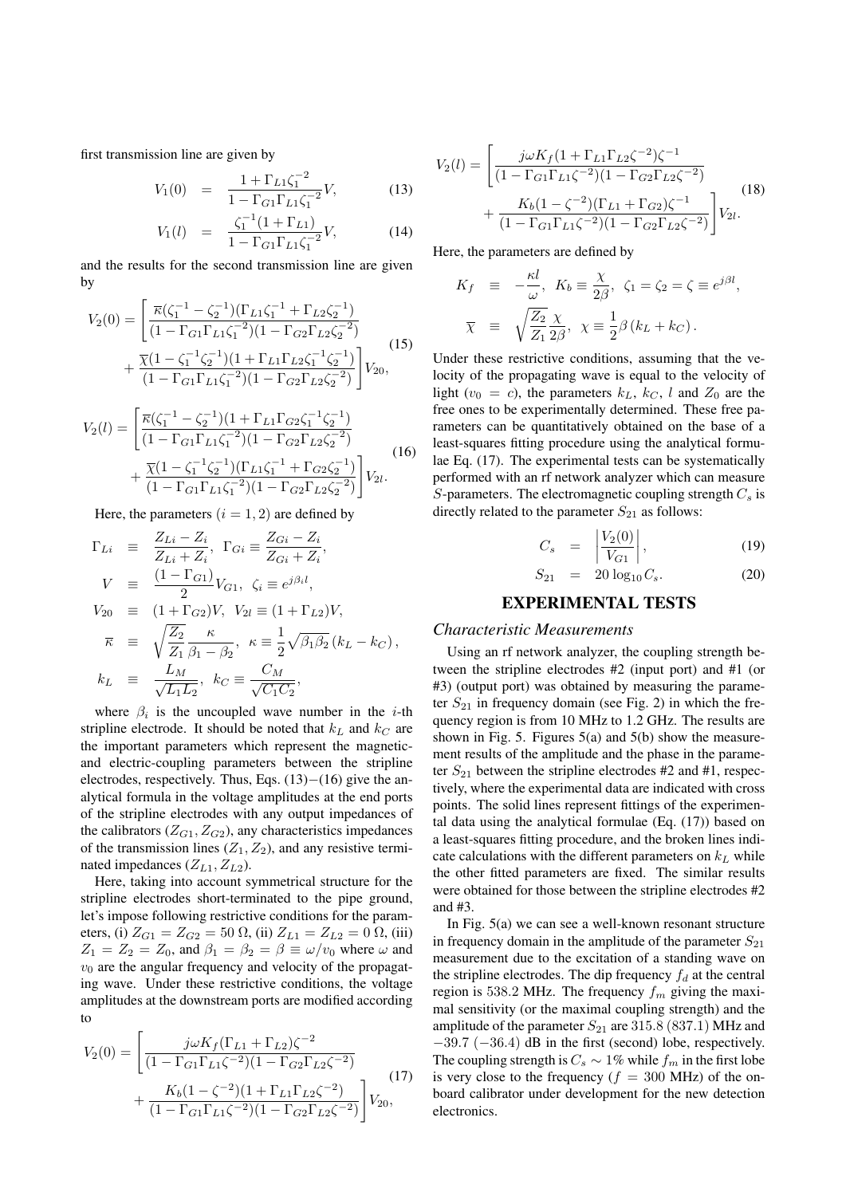first transmission line are given by

$$
V_1(0) = \frac{1 + \Gamma_{L1} \zeta_1^{-2}}{1 - \Gamma_{G1} \Gamma_{L1} \zeta_1^{-2}} V, \tag{13}
$$

$$
V_1(l) = \frac{\zeta_1^{-1}(1 + \Gamma_{L1})}{1 - \Gamma_{G1}\Gamma_{L1}\zeta_1^{-2}}V,\tag{14}
$$

and the results for the second transmission line are given by

$$
V_2(0) = \left[ \frac{\overline{\kappa}(\zeta_1^{-1} - \zeta_2^{-1})(\Gamma_{L1}\zeta_1^{-1} + \Gamma_{L2}\zeta_2^{-1})}{(1 - \Gamma_{G1}\Gamma_{L1}\zeta_1^{-2})(1 - \Gamma_{G2}\Gamma_{L2}\zeta_2^{-2})} + \frac{\overline{\chi}(1 - \zeta_1^{-1}\zeta_2^{-1})(1 + \Gamma_{L1}\Gamma_{L2}\zeta_1^{-1}\zeta_2^{-1})}{(1 - \Gamma_{G1}\Gamma_{L1}\zeta_1^{-2})(1 - \Gamma_{G2}\Gamma_{L2}\zeta_2^{-2})} \right] V_{20},
$$
\n(15)

$$
V_2(l) = \left[ \frac{\overline{\kappa}(\zeta_1^{-1} - \zeta_2^{-1})(1 + \Gamma_{L1}\Gamma_{G2}\zeta_1^{-1}\zeta_2^{-1})}{(1 - \Gamma_{G1}\Gamma_{L1}\zeta_1^{-2})(1 - \Gamma_{G2}\Gamma_{L2}\zeta_2^{-2})} + \frac{\overline{\chi}(1 - \zeta_1^{-1}\zeta_2^{-1})(\Gamma_{L1}\zeta_1^{-1} + \Gamma_{G2}\zeta_2^{-1})}{(1 - \Gamma_{G1}\Gamma_{L1}\zeta_1^{-2})(1 - \Gamma_{G2}\Gamma_{L2}\zeta_2^{-2})} \right] V_{2l}.
$$
\n(16)

Here, the parameters  $(i = 1, 2)$  are defined by

$$
\begin{array}{rcl}\n\Gamma_{Li} & \equiv & \frac{Z_{Li} - Z_i}{Z_{Li} + Z_i}, \ \Gamma_{Gi} \equiv & \frac{Z_{Gi} - Z_i}{Z_{Gi} + Z_i}, \\
V & \equiv & \frac{(1 - \Gamma_{G1})}{2} V_{G1}, \ \zeta_i \equiv e^{j\beta_i l}, \\
V_{20} & \equiv & (1 + \Gamma_{G2})V, \ V_{2l} \equiv (1 + \Gamma_{L2})V, \\
\overline{\kappa} & \equiv & \sqrt{\frac{Z_2}{Z_1}} \frac{\kappa}{\beta_1 - \beta_2}, \ \kappa \equiv & \frac{1}{2} \sqrt{\beta_1 \beta_2} (k_L - k_C), \\
k_L & \equiv & \frac{L_M}{\sqrt{L_1 L_2}}, \ k_C \equiv & \frac{C_M}{\sqrt{C_1 C_2}},\n\end{array}
$$

where  $\beta_i$  is the uncoupled wave number in the *i*-th stripline electrode. It should be noted that  $k_L$  and  $k_C$  are the important parameters which represent the magneticand electric-coupling parameters between the stripline electrodes, respectively. Thus, Eqs. (13)*−*(16) give the analytical formula in the voltage amplitudes at the end ports of the stripline electrodes with any output impedances of the calibrators  $(Z_{G1}, Z_{G2})$ , any characteristics impedances of the transmission lines  $(Z_1, Z_2)$ , and any resistive terminated impedances  $(Z_{L1}, Z_{L2})$ .

Here, taking into account symmetrical structure for the stripline electrodes short-terminated to the pipe ground, let's impose following restrictive conditions for the parameters, (i)  $Z_{G1} = Z_{G2} = 50 \Omega$ , (ii)  $Z_{L1} = Z_{L2} = 0 \Omega$ , (iii)  $Z_1 = Z_2 = Z_0$ , and  $\beta_1 = \beta_2 = \beta \equiv \omega/v_0$  where  $\omega$  and  $v_0$  are the angular frequency and velocity of the propagating wave. Under these restrictive conditions, the voltage amplitudes at the downstream ports are modified according to

$$
V_2(0) = \left[ \frac{j\omega K_f (\Gamma_{L1} + \Gamma_{L2})\zeta^{-2}}{(1 - \Gamma_{G1}\Gamma_{L1}\zeta^{-2})(1 - \Gamma_{G2}\Gamma_{L2}\zeta^{-2})} + \frac{K_b(1 - \zeta^{-2})(1 + \Gamma_{L1}\Gamma_{L2}\zeta^{-2})}{(1 - \Gamma_{G1}\Gamma_{L1}\zeta^{-2})(1 - \Gamma_{G2}\Gamma_{L2}\zeta^{-2})} \right] V_{20},
$$
\n(17)

$$
V_2(l) = \left[ \frac{j\omega K_f (1 + \Gamma_{L1}\Gamma_{L2}\zeta^{-2})\zeta^{-1}}{(1 - \Gamma_{G1}\Gamma_{L1}\zeta^{-2})(1 - \Gamma_{G2}\Gamma_{L2}\zeta^{-2})} + \frac{K_b (1 - \zeta^{-2})(\Gamma_{L1} + \Gamma_{G2})\zeta^{-1}}{(1 - \Gamma_{G1}\Gamma_{L1}\zeta^{-2})(1 - \Gamma_{G2}\Gamma_{L2}\zeta^{-2})} \right] V_{2l}.
$$
\n(18)

Here, the parameters are defined by

$$
K_f \equiv -\frac{\kappa l}{\omega}, \ K_b \equiv \frac{\chi}{2\beta}, \ \zeta_1 = \zeta_2 = \zeta \equiv e^{j\beta l}
$$

$$
\overline{\chi} \equiv \sqrt{\frac{Z_2}{Z_1}} \frac{\chi}{2\beta}, \ \chi \equiv \frac{1}{2}\beta (k_L + k_C).
$$

Under these restrictive conditions, assuming that the velocity of the propagating wave is equal to the velocity of light ( $v_0 = c$ ), the parameters  $k_L$ ,  $k_C$ , l and  $Z_0$  are the free ones to be experimentally determined. These free parameters can be quantitatively obtained on the base of a least-squares fitting procedure using the analytical formulae Eq. (17). The experimental tests can be systematically performed with an rf network analyzer which can measure *S*-parameters. The electromagnetic coupling strength  $C_s$  is directly related to the parameter  $S_{21}$  as follows:

$$
C_s = \left| \frac{V_2(0)}{V_{G1}} \right|, \tag{19}
$$

*,*

$$
S_{21} = 20 \log_{10} C_s. \tag{20}
$$

# EXPERIMENTAL TESTS

#### *Characteristic Measurements*

Using an rf network analyzer, the coupling strength between the stripline electrodes #2 (input port) and #1 (or #3) (output port) was obtained by measuring the parameter  $S_{21}$  in frequency domain (see Fig. 2) in which the frequency region is from 10 MHz to 1.2 GHz. The results are shown in Fig. 5. Figures  $5(a)$  and  $5(b)$  show the measurement results of the amplitude and the phase in the parameter  $S_{21}$  between the stripline electrodes #2 and #1, respectively, where the experimental data are indicated with cross points. The solid lines represent fittings of the experimental data using the analytical formulae (Eq. (17)) based on a least-squares fitting procedure, and the broken lines indicate calculations with the different parameters on  $k_L$  while the other fitted parameters are fixed. The similar results were obtained for those between the stripline electrodes #2 and #3.

In Fig. 5(a) we can see a well-known resonant structure in frequency domain in the amplitude of the parameter  $S_{21}$ measurement due to the excitation of a standing wave on the stripline electrodes. The dip frequency  $f_d$  at the central region is 538.2 MHz. The frequency  $f_m$  giving the maximal sensitivity (or the maximal coupling strength) and the amplitude of the parameter  $S_{21}$  are 315.8 (837.1) MHz and *−*39*.*7 (*−*36*.*4) dB in the first (second) lobe, respectively. The coupling strength is  $C_s \sim 1\%$  while  $f_m$  in the first lobe is very close to the frequency  $(f = 300 \text{ MHz})$  of the onboard calibrator under development for the new detection electronics.